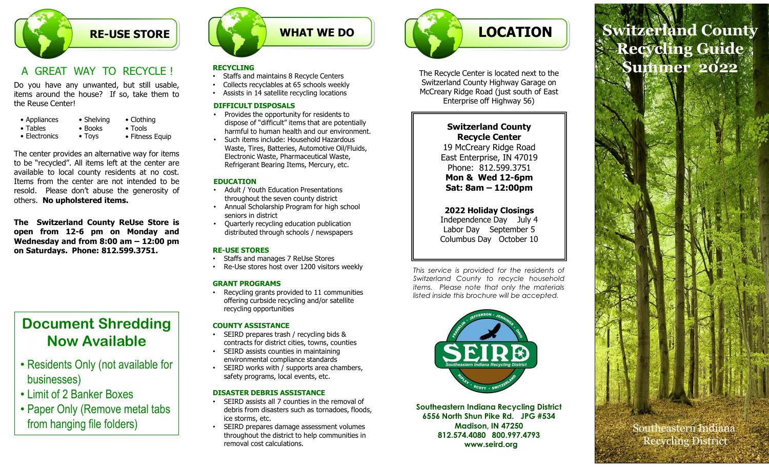

## A GREAT WAY TO RECYCLE !

| • Appliances     | • Shelving      | • Clothing      |  |
|------------------|-----------------|-----------------|--|
| $\bullet$ Tables | $\bullet$ Books | $\bullet$ Tools |  |
| • Electronics    | $\bullet$ Toys  | • Fitness Equ   |  |

**EXECUTE:**<br>
A GREAT WAY TO RECYCLE !<br>
Starfs and maintains 8 Recycle Centers<br>
terms around the house? If so, take them to<br>
terms around the house? If so, take them to<br>
the Reuse Center is the Reuse Center of the star of th **EXECUTE AND RE-USE STORE<br>
CONTROLL BE STORE TO RECYCLE !**<br>
Do you have any unwanted, but still usable,<br>
the Reuse Center is solved by the starts and maintains 8 Recycle Centers<br>
the Reuse Center is solved by the Solved Bu A GREAT WAY TO RECYCLE!<br>
Do you have any unwanted, but still usable,<br>
tems around the house? If so, take them to<br>
the state certifical in the state of the state of the state of the state of the state of the state of the st **EXECUTE ASSEMBLY TO RECYCLE !**<br> **EXECUTING**<br>
Do you have any unwanted, but still usable,<br>
to like the reduce conducts are corolables at 65 schools weekly<br>
the Reuse Center!<br> **Conducts** Conducts Conducts and maintains 8 Re

# Document Shredding Now Available

- Residents Only (not available for businesses)
- Limit of 2 Banker Boxes
- Paper Only (Remove metal tabs from hanging file folders)



### RECYCLING

- Staffs and maintains 8 Recycle Centers
- Collects recyclables at 65 schools weekly
- Assists in 14 satellite recycling locations

#### DIFFICULT DISPOSALS

- Provides the opportunity for residents to dispose of "difficult" items that are potentially harmful to human health and our environment.
- Such items include: Household Hazardous Waste, Tires, Batteries, Automotive Oil/Fluids, Electronic Waste, Pharmaceutical Waste, Refrigerant Bearing Items, Mercury, etc.

#### EDUCATION

- Adult / Youth Education Presentations throughout the seven county district
- Annual Scholarship Program for high school seniors in district
- Quarterly recycling education publication distributed through schools / newspapers

#### RE-USE STORES

- Staffs and manages 7 ReUse Stores
- Re-Use stores host over 1200 visitors weekly This service is provided for the residents of

offering curbside recycling and/or satellite recycling opportunities

#### COUNTY ASSISTANCE

- SEIRD prepares trash / recycling bids & contracts for district cities, towns, counties
- SEIRD assists counties in maintaining environmental compliance standards
- SEIRD works with / supports area chambers, safety programs, local events, etc.

#### DISASTER DEBRIS ASSISTANCE

- SEIRD assists all 7 counties in the removal of debris from disasters such as tornadoes, floods, ice storms, etc.
- SEIRD prepares damage assessment volumes throughout the district to help communities in removal cost calculations.



The Recycle Center is located next to the Switzerland County Highway Garage on McCreary Ridge Road (just south of East Enterprise off Highway 56)

Switzerland County Recycle Center 19 McCreary Ridge Road East Enterprise, IN 47019 Phone: 812.599.3751 Mon & Wed 12-6pm The Recycle Center is located next be the resident<br>
Switzerland County Highway Grage on<br>
McCreary Ridge Road (just south of East<br>
Enterprise of Highway 56)<br>
Switzerland County<br>
Recycle Center<br>
19 McCreary Ridge Road<br>
East Switzerland County Highway Grange on<br>
Enterprise of Highway 56)<br>
Enterprise of Highway 56)<br>
Switzerland County<br>
Recycle Center<br>
19 McCreary Ridge Road<br>
East Enterprise, IN 47019<br>
Phone: 812.599.3751<br>
Mon & Wed 12-6pm<br>
Sat: McCreary Ridge Road (just south of East<br>
Enterprise of Highway 56)<br>
Switzerland County<br>
Recycle Center<br>
19 McGreary Ridge Road<br>
East Enterprise, IN 47019<br>
Phone. 812.599.3751<br>
Mon & Wed 12-6pm<br>
Mat: Sam — 12:00pm<br>
2022 Hol Enterprise off Highway 56)<br>
Switzerland County<br>
Recycle Center<br>
19 McCreary Ridge Road<br>
East Enterprise, IN 47019<br>
Phone: 812.599.3751<br>
Mon & Wed 12-6pm<br>
Sat: 8am – 12:00pm<br>
2022 Holiday Closings<br>
Independence by July 4<br>
L

## 2022 Holiday Closings

Independence Day July 4 Labor Day September 5 Columbus Day October 10

Switzerland County to recycle household<br>
items. Please note that only the materials<br>
items. Please note that only the materials Recycling grants provided to 11 communities listed inside this brochure will be accepted.



Southeastern Indiana Recycling District 6556 North Shun Pike Rd. JPG #534 Madison, IN 47250 812.574.4080 800.997.4793 www.seird.org

# **LOCATION Switzerland County** LOCATION<br>
Switzerland County<br>
Switzerland County<br>
Encycle Center is located next to the<br>
Hand County Highway Grage on<br>
Interprise of Highway 56)<br>
Switzerland County<br>
Recycle Center<br>
Sat: Recycle Center<br>
Sat: Enterprise, IN Recycling Guide Summer 2022

Southeastern Indiana Recycling District